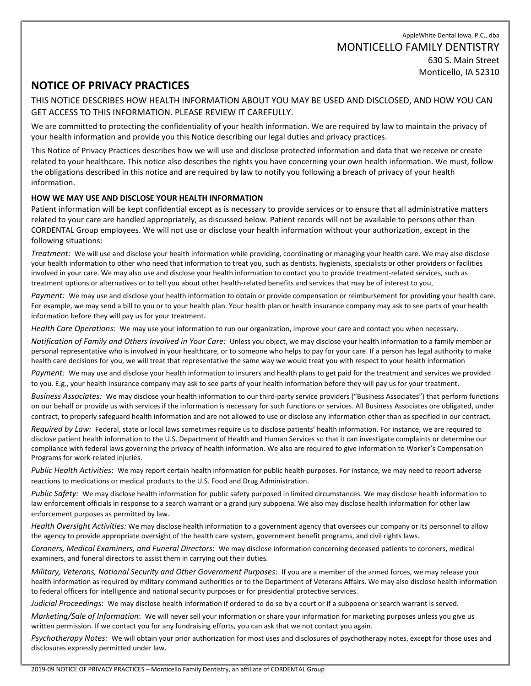AppleWhite Dental Iowa, P.C., dba MONTICELLO FAMILY DENTISTRY 630 S. Main Street Monticello, IA 52310

# **NOTICE OF PRIVACY PRACTICES**

THIS NOTICE DESCRIBES HOW HEALTH INFORMATION ABOUT YOU MAY BE USED AND DISCLOSED, AND HOW YOU CAN GET ACCESS TO THIS INFORMATION. PLEASE REVIEW IT CAREFULLY.

We are committed to protecting the confidentiality of your health information. We are required by law to maintain the privacy of your health information and provide you this Notice describing our legal duties and privacy practices.

This Notice of Privacy Practices describes how we will use and disclose protected information and data that we receive or create related to your healthcare. This notice also describes the rights you have concerning your own health information. We must, follow the obligations described in this notice and are required by law to notify you following a breach of privacy of your health information.

## **HOW WE MAY USE AND DISCLOSE YOUR HEALTH INFORMATION**

Patient information will be kept confidential except as is necessary to provide services or to ensure that all administrative matters related to your care are handled appropriately, as discussed below. Patient records will not be available to persons other than CORDENTAL Group employees. We will not use or disclose your health information without your authorization, except in the following situations:

*Treatment:* We will use and disclose your health information while providing, coordinating or managing your health care. We may also disclose your health information to other who need that information to treat you, such as dentists, hygienists, specialists or other providers or facilities involved in your care. We may also use and disclose your health information to contact you to provide treatment-related services, such as treatment options or alternatives or to tell you about other health-related benefits and services that may be of interest to you.

*Payment:* We may use and disclose your health information to obtain or provide compensation or reimbursement for providing your health care. For example, we may send a bill to you or to your health plan. Your health plan or health insurance company may ask to see parts of your health information before they will pay us for your treatment.

*Health Care Operations:* We may use your information to run our organization, improve your care and contact you when necessary.

*Notification of Family and Others Involved in Your Care:* Unless you object, we may disclose your health information to a family member or personal representative who is involved in your healthcare, or to someone who helps to pay for your care. If a person has legal authority to make health care decisions for you, we will treat that representative the same way we would treat you with respect to your health information

*Payment:* We may use and disclose your health information to insurers and health plans to get paid for the treatment and services we provided to you. E.g., your health insurance company may ask to see parts of your health information before they will pay us for your treatment.

*Business Associates:* We may disclose your health information to our third-party service providers ("Business Associates") that perform functions on our behalf or provide us with services if the information is necessary for such functions or services. All Business Associates ore obligated, under contract, to properly safeguard health information and are not allowed to use or disclose any information other than as specified in our contract.

*Required by Law:* Federal, state or local laws sometimes require us to disclose patients' health information. For instance, we are required to disclose patient health information to the U.S. Department of Health and Human Services so that it can investigate complaints or determine our compliance with federal laws governing the privacy of health information. We also are required to give information to Worker's Compensation Programs for work-related injuries.

*Public Health Activities*: We may report certain health information for public health purposes. For instance, we may need to report adverse reactions to medications or medical products to the U.S. Food and Drug Administration.

*Public Safety:* We may disclose health information for public safety purposed in limited circumstances. We may disclose health information to law enforcement officials in response to a search warrant or a grand jury subpoena. We also may disclose health information for other law enforcement purposes as permitted by law.

*Health Oversight Activities:* We may disclose health information to a government agency that oversees our company or its personnel to allow the agency to provide appropriate oversight of the health care system, government benefit programs, and civil rights laws.

*Coroners, Medical Examiners, and Funeral Directors*: We may disclose information concerning deceased patients to coroners, medical examiners, and funeral directors to assist them in carrying out their duties.

*Military, Veterans, National Security and Other Government Purposes*: If you are a member of the armed forces, we may release your health information as required by military command authorities or to the Department of Veterans Affairs. We may also disclose health information to federal officers for intelligence and national security purposes or for presidential protective services.

*Judicial Proceedings*: We may disclose health information if ordered to do so by a court or if a subpoena or search warrant is served.

*Marketing/Sale of Information*: We will never sell your information or share your information for marketing purposes unless you give us written permission. If we contact you for any fundraising efforts, you can ask that we not contact you again.

*Psychotherapy Notes:* We will obtain your prior authorization for most uses and disclosures of psychotherapy notes, except for those uses and disclosures expressly permitted under law.